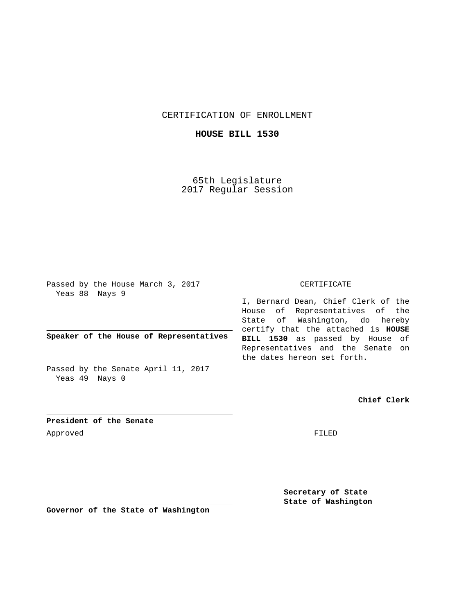CERTIFICATION OF ENROLLMENT

**HOUSE BILL 1530**

65th Legislature 2017 Regular Session

Passed by the House March 3, 2017 Yeas 88 Nays 9

**Speaker of the House of Representatives**

Passed by the Senate April 11, 2017 Yeas 49 Nays 0

## CERTIFICATE

I, Bernard Dean, Chief Clerk of the House of Representatives of the State of Washington, do hereby certify that the attached is **HOUSE BILL 1530** as passed by House of Representatives and the Senate on the dates hereon set forth.

**Chief Clerk**

**President of the Senate** Approved FILED

**Secretary of State State of Washington**

**Governor of the State of Washington**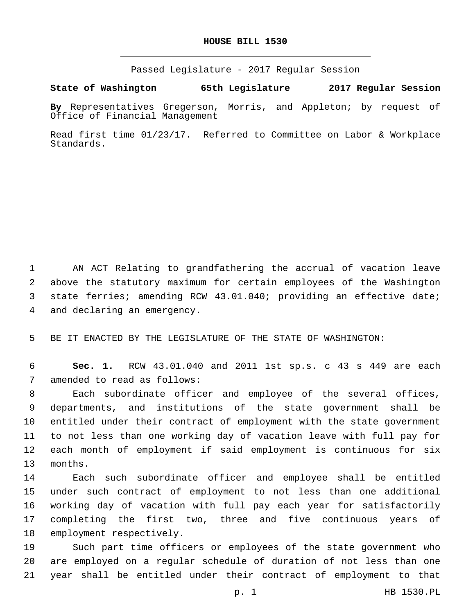## **HOUSE BILL 1530**

Passed Legislature - 2017 Regular Session

**State of Washington 65th Legislature 2017 Regular Session**

**By** Representatives Gregerson, Morris, and Appleton; by request of Office of Financial Management

Read first time 01/23/17. Referred to Committee on Labor & Workplace Standards.

 AN ACT Relating to grandfathering the accrual of vacation leave above the statutory maximum for certain employees of the Washington state ferries; amending RCW 43.01.040; providing an effective date; 4 and declaring an emergency.

5 BE IT ENACTED BY THE LEGISLATURE OF THE STATE OF WASHINGTON:

6 **Sec. 1.** RCW 43.01.040 and 2011 1st sp.s. c 43 s 449 are each 7 amended to read as follows:

 Each subordinate officer and employee of the several offices, departments, and institutions of the state government shall be entitled under their contract of employment with the state government to not less than one working day of vacation leave with full pay for each month of employment if said employment is continuous for six 13 months.

 Each such subordinate officer and employee shall be entitled under such contract of employment to not less than one additional working day of vacation with full pay each year for satisfactorily completing the first two, three and five continuous years of 18 employment respectively.

19 Such part time officers or employees of the state government who 20 are employed on a regular schedule of duration of not less than one 21 year shall be entitled under their contract of employment to that